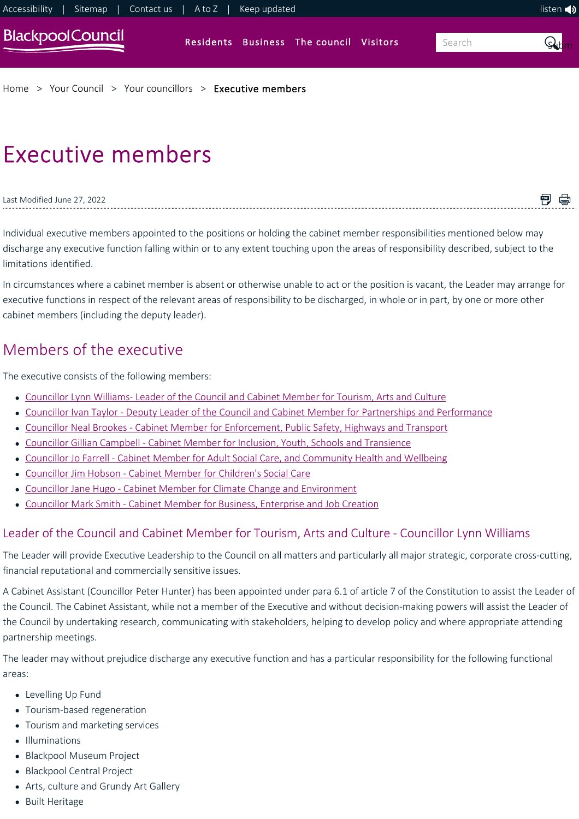

[Home](https://www.blackpool.gov.uk/Home.aspx) > [Your Council](https://www.blackpool.gov.uk/Your-Council/Your-Council.aspx) > [Your councillors](https://www.blackpool.gov.uk/Your-Council/Your-councillors/Your-councillors.aspx) > [Executive members](https://www.blackpool.gov.uk/Your-Council/Your-councillors/Executive-members.aspx)

# Executive members

Last Modified June 27, 2022

<span id="page-0-0"></span>Individual executive members appointed to the positions or holding the cabinet member responsibilities mentioned below may discharge any executive function falling within or to any extent touching upon the areas of responsibility described, subject to the limitations identified.

■ ●

In circumstances where a cabinet member is absent or otherwise unable to act or the position is vacant, the Leader may arrange for executive functions in respect of the relevant areas of responsibility to be discharged, in whole or in part, by one or more other cabinet members (including the deputy leader).

## Members of the executive

The executive consists of the following members:

- Councillor Lynn Williams- Leader of the Council and Cabinet Member for Tourism, Arts and Culture
- [Councillor Ivan Taylor ‐ Deputy Leader of the Council and Cabinet Member for Partnerships and Performance](#page-1-0)
- Councillor Neal Brookes Cabinet Member for Enforcement, Public Safety, Highways and Transport
- Councillor Gillian Campbell Cabinet Member for Inclusion, Youth, Schools and Transience
- [Councillor Jo Farrell ‐ Cabinet Member for Adult Social Care, and Community Health and Wellbeing](#page-2-1)
- Councillor Jim Hobson Cabinet Member for Children's Social Care
- Councillor Jane Hugo Cabinet Member for Climate Change and Environment
- [Councillor Mark Smith ‐ Cabinet Member for Business, Enterprise and Job Creation](#page-3-2)

### <span id="page-0-1"></span>Leader of the Council and Cabinet Member for Tourism, Arts and Culture ‐ Councillor Lynn Williams

The Leader will provide Executive Leadership to the Council on all matters and particularly all major strategic, corporate cross-cutting, financial reputational and commercially sensitive issues.

A Cabinet Assistant (Councillor Peter Hunter) has been appointed under para 6.1 of article 7 of the Constitution to assist the Leader of the Council. The Cabinet Assistant, while not a member of the Executive and without decision-making powers will assist the Leader of the Council by undertaking research, communicating with stakeholders, helping to develop policy and where appropriate attending partnership meetings.

The leader may without prejudice discharge any executive function and has a particular responsibility for the following functional areas:

- Levelling Up Fund
- Tourism‐based regeneration
- Tourism and marketing services
- Illuminations
- Blackpool Museum Project
- Blackpool Central Project
- Arts, culture and Grundy Art Gallery
- Built Heritage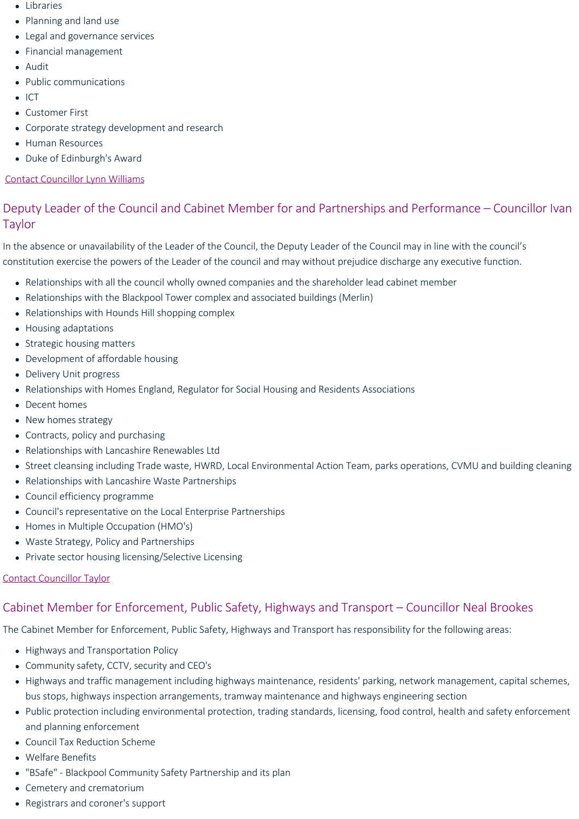- Libraries
- Planning and land use
- Legal and governance services
- Financial management
- Audit
- Public communications
- $\bullet$  ICT
- Customer First
- Corporate strategy development and research
- Human Resources
- Duke of Edinburgh's Award

#### [Contact Councillor Lynn Williams](http://democracy.blackpool.gov.uk/mgUserInfo.aspx?UID=348)

## <span id="page-1-0"></span>Deputy Leader of the Council and Cabinet Member for and Partnerships and Performance – Councillor Ivan Taylor

In the absence or unavailability of the Leader of the Council, the Deputy Leader of the Council may in line with the council's constitution exercise the powers of the Leader of the council and may without prejudice discharge any executive function.

- Relationships with all the council wholly owned companies and the shareholder lead cabinet member
- Relationships with the Blackpool Tower complex and associated buildings (Merlin)
- Relationships with Hounds Hill shopping complex
- Housing adaptations
- Strategic housing matters
- Development of affordable housing
- Delivery Unit progress
- Relationships with Homes England, Regulator for Social Housing and Residents Associations
- Decent homes
- New homes strategy
- Contracts, policy and purchasing
- Relationships with Lancashire Renewables Ltd
- Street cleansing including Trade waste, HWRD, Local Environmental Action Team, parks operations, CVMU and building cleaning
- Relationships with Lancashire Waste Partnerships
- Council efficiency programme
- Council's representative on the Local Enterprise Partnerships
- Homes in Multiple Occupation (HMO's)
- Waste Strategy, Policy and Partnerships
- Private sector housing licensing/Selective Licensing

#### [Contact Councillor Taylor](http://democracy.blackpool.gov.uk/mgUserInfo.aspx?UID=149)

## <span id="page-1-1"></span>Cabinet Member for Enforcement, Public Safety, Highways and Transport – Councillor Neal Brookes

The Cabinet Member for Enforcement, Public Safety, Highways and Transport has responsibility for the following areas:

- Highways and Transportation Policy
- Community safety, CCTV, security and CEO's
- Highways and traffic management including highways maintenance, residents' parking, network management, capital schemes, bus stops, highways inspection arrangements, tramway maintenance and highways engineering section
- Public protection including environmental protection, trading standards, licensing, food control, health and safety enforcement and planning enforcement
- Council Tax Reduction Scheme
- Welfare Benefits
- "BSafe" ‐ Blackpool Community Safety Partnership and its plan
- Cemetery and crematorium
- Registrars and coroner's support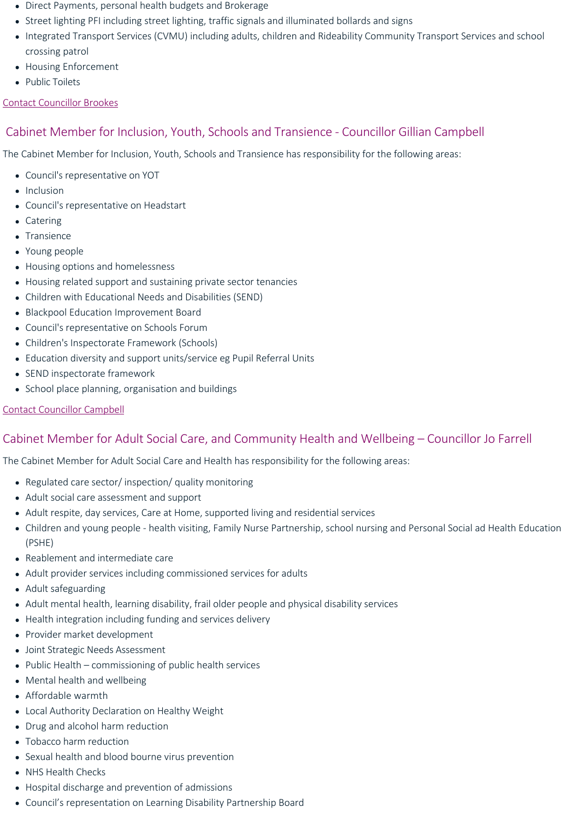- Direct Payments, personal health budgets and Brokerage
- Street lighting PFI including street lighting, traffic signals and illuminated bollards and signs
- Integrated Transport Services (CVMU) including adults, children and Rideability Community Transport Services and school crossing patrol
- Housing Enforcement
- Public Toilets

#### [Contact Councillor Brookes](http://democracy.blackpool.gov.uk/mgUserInfo.aspx?UID=799)

## <span id="page-2-0"></span>Cabinet Member for Inclusion, Youth, Schools and Transience ‐ Councillor Gillian Campbell

The Cabinet Member for Inclusion, Youth, Schools and Transience has responsibility for the following areas:

- Council's representative on YOT
- Inclusion
- Council's representative on Headstart
- Catering
- Transience
- Young people
- Housing options and homelessness
- Housing related support and sustaining private sector tenancies
- Children with Educational Needs and Disabilities (SEND)
- Blackpool Education Improvement Board
- Council's representative on Schools Forum
- Children's Inspectorate Framework (Schools)
- Education diversity and support units/service eg Pupil Referral Units
- SEND inspectorate framework
- School place planning, organisation and buildings

#### [Contact Councillor Campbell](http://democracy.blackpool.gov.uk/mgUserInfo.aspx?UID=122)

## <span id="page-2-1"></span>Cabinet Member for Adult Social Care, and Community Health and Wellbeing – Councillor Jo Farrell

The Cabinet Member for Adult Social Care and Health has responsibility for the following areas:

- Regulated care sector/ inspection/ quality monitoring
- Adult social care assessment and support
- Adult respite, day services, Care at Home, supported living and residential services
- Children and young people ‐ health visiting, Family Nurse Partnership, school nursing and Personal Social ad Health Education (PSHE)
- Reablement and intermediate care
- Adult provider services including commissioned services for adults
- Adult safeguarding
- Adult mental health, learning disability, frail older people and physical disability services
- Health integration including funding and services delivery
- Provider market development
- Joint Strategic Needs Assessment
- $\bullet$  Public Health commissioning of public health services
- Mental health and wellbeing
- Affordable warmth
- Local Authority Declaration on Healthy Weight
- Drug and alcohol harm reduction
- Tobacco harm reduction
- Sexual health and blood bourne virus prevention
- NHS Health Checks
- Hospital discharge and prevention of admissions
- Council's representation on Learning Disability Partnership Board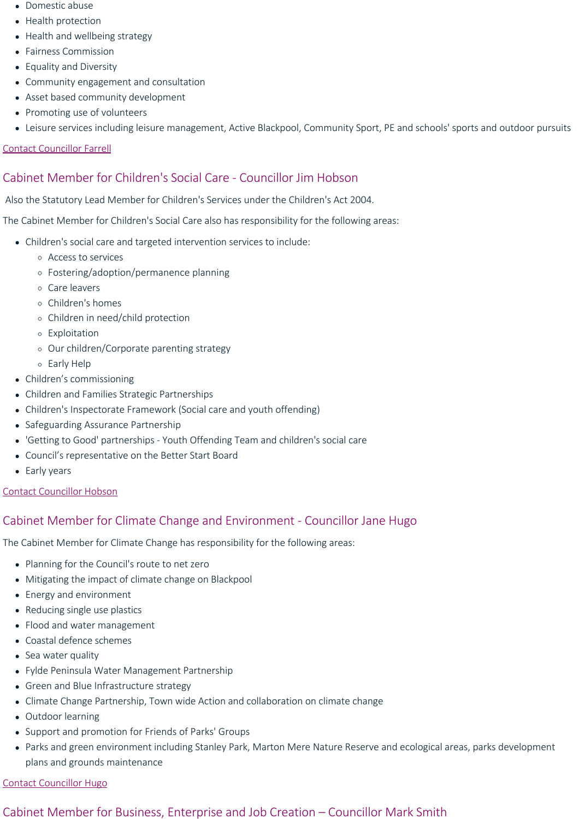- Domestic abuse
- Health protection
- Health and wellbeing strategy
- Fairness Commission
- Equality and Diversity
- Community engagement and consultation
- Asset based community development
- Promoting use of volunteers
- Leisure services including leisure management, Active Blackpool, Community Sport, PE and schools' sports and outdoor pursuits

#### [Contact Councillor Farrell](http://democracy.blackpool.gov.uk/mgUserInfo.aspx?UID=801)

## <span id="page-3-0"></span>Cabinet Member for Children's Social Care ‐ Councillor Jim Hobson

Also the Statutory Lead Member for Children's Services under the Children's Act 2004.

The Cabinet Member for Children's Social Care also has responsibility for the following areas:

- Children's social care and targeted intervention services to include:
	- Access to services
	- Fostering/adoption/permanence planning
	- Care leavers
	- Children's homes
	- Children in need/child protection
	- Exploitation
	- Our children/Corporate parenting strategy
	- Early Help
- Children's commissioning
- Children and Families Strategic Partnerships
- Children's Inspectorate Framework (Social care and youth offending)
- Safeguarding Assurance Partnership
- 'Getting to Good' partnerships ‐ Youth Offending Team and children's social care
- Council's representative on the Better Start Board
- Early years

#### [Contact Councillor Hobson](http://democracy.blackpool.gov.uk/mgUserInfo.aspx?UID=446)

## <span id="page-3-1"></span>Cabinet Member for Climate Change and Environment ‐ Councillor Jane Hugo

The Cabinet Member for Climate Change has responsibility for the following areas:

- Planning for the Council's route to net zero
- Mitigating the impact of climate change on Blackpool
- Energy and environment
- Reducing single use plastics
- Flood and water management
- Coastal defence schemes
- Sea water quality
- Fylde Peninsula Water Management Partnership
- Green and Blue Infrastructure strategy
- Climate Change Partnership, Town wide Action and collaboration on climate change
- Outdoor learning
- Support and promotion for Friends of Parks' Groups
- Parks and green environment including Stanley Park, Marton Mere Nature Reserve and ecological areas, parks development plans and grounds maintenance

#### [Contact Councillor Hugo](mailto:Jane.Hugo@blackpool.gov.uk)

#### <span id="page-3-2"></span>Cabinet Member for Business, Enterprise and Job Creation – Councillor Mark Smith